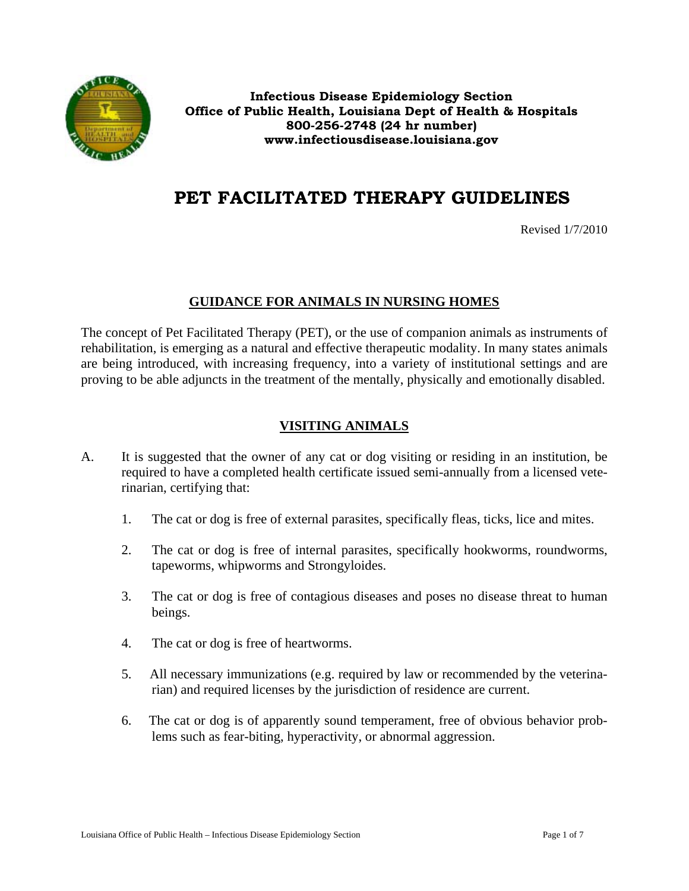

**Infectious Disease Epidemiology Section Office of Public Health, Louisiana Dept of Health & Hospitals 800-256-2748 (24 hr number) www.infectiousdisease.louisiana.gov**

# **PET FACILITATED THERAPY GUIDELINES**

Revised 1/7/2010

#### **GUIDANCE FOR ANIMALS IN NURSING HOMES**

The concept of Pet Facilitated Therapy (PET), or the use of companion animals as instruments of rehabilitation, is emerging as a natural and effective therapeutic modality. In many states animals are being introduced, with increasing frequency, into a variety of institutional settings and are proving to be able adjuncts in the treatment of the mentally, physically and emotionally disabled.

# **VISITING ANIMALS**

- A. It is suggested that the owner of any cat or dog visiting or residing in an institution, be required to have a completed health certificate issued semi-annually from a licensed veterinarian, certifying that:
	- 1. The cat or dog is free of external parasites, specifically fleas, ticks, lice and mites.
	- 2. The cat or dog is free of internal parasites, specifically hookworms, roundworms, tapeworms, whipworms and Strongyloides.
	- 3. The cat or dog is free of contagious diseases and poses no disease threat to human beings.
	- 4. The cat or dog is free of heartworms.
	- 5. All necessary immunizations (e.g. required by law or recommended by the veterinarian) and required licenses by the jurisdiction of residence are current.
	- 6. The cat or dog is of apparently sound temperament, free of obvious behavior problems such as fear-biting, hyperactivity, or abnormal aggression.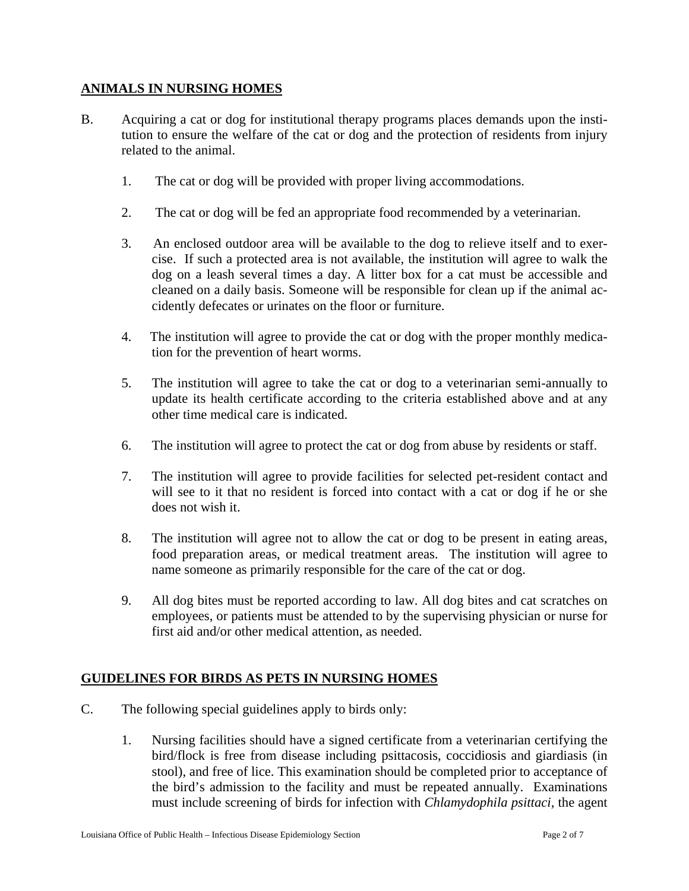#### **ANIMALS IN NURSING HOMES**

- B. Acquiring a cat or dog for institutional therapy programs places demands upon the institution to ensure the welfare of the cat or dog and the protection of residents from injury related to the animal.
	- 1. The cat or dog will be provided with proper living accommodations.
	- 2. The cat or dog will be fed an appropriate food recommended by a veterinarian.
	- 3. An enclosed outdoor area will be available to the dog to relieve itself and to exercise. If such a protected area is not available, the institution will agree to walk the dog on a leash several times a day. A litter box for a cat must be accessible and cleaned on a daily basis. Someone will be responsible for clean up if the animal accidently defecates or urinates on the floor or furniture.
	- 4. The institution will agree to provide the cat or dog with the proper monthly medication for the prevention of heart worms.
	- 5. The institution will agree to take the cat or dog to a veterinarian semi-annually to update its health certificate according to the criteria established above and at any other time medical care is indicated.
	- 6. The institution will agree to protect the cat or dog from abuse by residents or staff.
	- 7. The institution will agree to provide facilities for selected pet-resident contact and will see to it that no resident is forced into contact with a cat or dog if he or she does not wish it.
	- 8. The institution will agree not to allow the cat or dog to be present in eating areas, food preparation areas, or medical treatment areas. The institution will agree to name someone as primarily responsible for the care of the cat or dog.
	- 9. All dog bites must be reported according to law. All dog bites and cat scratches on employees, or patients must be attended to by the supervising physician or nurse for first aid and/or other medical attention, as needed.

# **GUIDELINES FOR BIRDS AS PETS IN NURSING HOMES**

- C. The following special guidelines apply to birds only:
	- 1. Nursing facilities should have a signed certificate from a veterinarian certifying the bird/flock is free from disease including psittacosis, coccidiosis and giardiasis (in stool), and free of lice. This examination should be completed prior to acceptance of the bird's admission to the facility and must be repeated annually. Examinations must include screening of birds for infection with *Chlamydophila psittaci,* the agent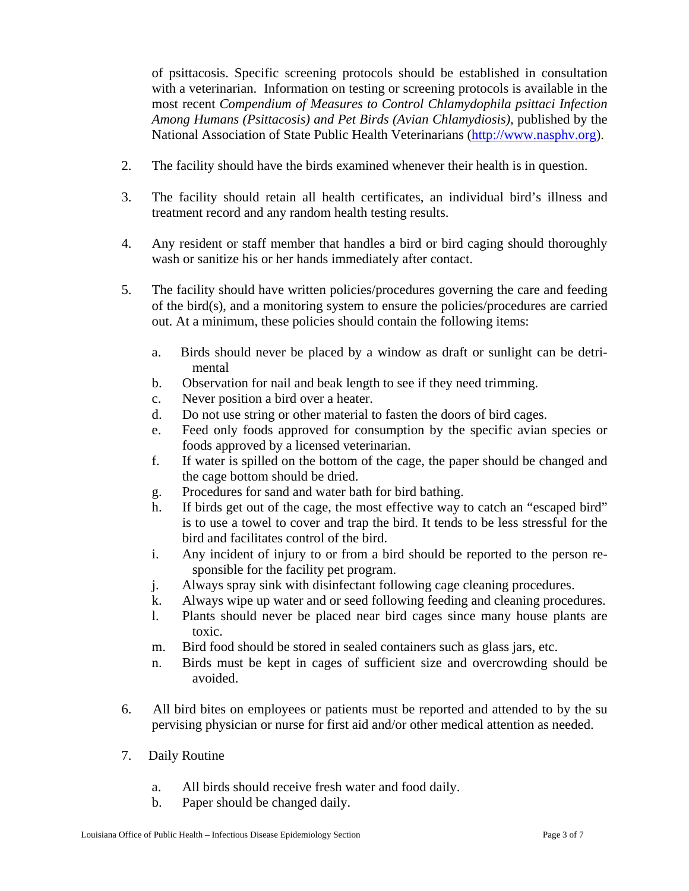of psittacosis. Specific screening protocols should be established in consultation with a veterinarian. Information on testing or screening protocols is available in the most recent *Compendium of Measures to Control Chlamydophila psittaci Infection Among Humans (Psittacosis) and Pet Birds (Avian Chlamydiosis),* published by the National Association of State Public Health Veterinarians (http://www.nasphv.org).

- 2. The facility should have the birds examined whenever their health is in question.
- 3. The facility should retain all health certificates, an individual bird's illness and treatment record and any random health testing results.
- 4. Any resident or staff member that handles a bird or bird caging should thoroughly wash or sanitize his or her hands immediately after contact.
- 5. The facility should have written policies/procedures governing the care and feeding of the bird(s), and a monitoring system to ensure the policies/procedures are carried out. At a minimum, these policies should contain the following items:
	- a. Birds should never be placed by a window as draft or sunlight can be detri mental
	- b. Observation for nail and beak length to see if they need trimming.
	- c. Never position a bird over a heater.
	- d. Do not use string or other material to fasten the doors of bird cages.
	- e. Feed only foods approved for consumption by the specific avian species or foods approved by a licensed veterinarian.
	- f. If water is spilled on the bottom of the cage, the paper should be changed and the cage bottom should be dried.
	- g. Procedures for sand and water bath for bird bathing.
	- h. If birds get out of the cage, the most effective way to catch an "escaped bird" is to use a towel to cover and trap the bird. It tends to be less stressful for the bird and facilitates control of the bird.
	- i. Any incident of injury to or from a bird should be reported to the person responsible for the facility pet program.
	- j. Always spray sink with disinfectant following cage cleaning procedures.
	- k. Always wipe up water and or seed following feeding and cleaning procedures.
	- l. Plants should never be placed near bird cages since many house plants are toxic.
	- m. Bird food should be stored in sealed containers such as glass jars, etc.
	- n. Birds must be kept in cages of sufficient size and overcrowding should be avoided.
- 6. All bird bites on employees or patients must be reported and attended to by the su pervising physician or nurse for first aid and/or other medical attention as needed.
- 7. Daily Routine
	- a. All birds should receive fresh water and food daily.
	- b. Paper should be changed daily.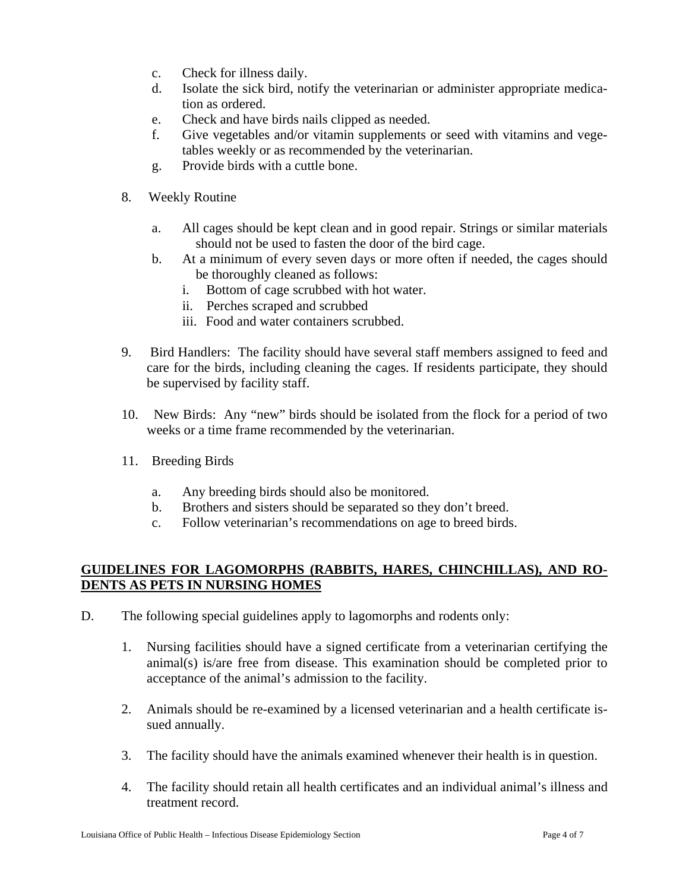- c. Check for illness daily.
- d. Isolate the sick bird, notify the veterinarian or administer appropriate medication as ordered.
- e. Check and have birds nails clipped as needed.
- f. Give vegetables and/or vitamin supplements or seed with vitamins and vegetables weekly or as recommended by the veterinarian.
- g. Provide birds with a cuttle bone.
- 8. Weekly Routine
	- a. All cages should be kept clean and in good repair. Strings or similar materials should not be used to fasten the door of the bird cage.
	- b. At a minimum of every seven days or more often if needed, the cages should be thoroughly cleaned as follows:
		- i. Bottom of cage scrubbed with hot water.
		- ii. Perches scraped and scrubbed
		- iii. Food and water containers scrubbed.
- 9. Bird Handlers: The facility should have several staff members assigned to feed and care for the birds, including cleaning the cages. If residents participate, they should be supervised by facility staff.
- 10. New Birds: Any "new" birds should be isolated from the flock for a period of two weeks or a time frame recommended by the veterinarian.
- 11. Breeding Birds
	- a. Any breeding birds should also be monitored.
	- b. Brothers and sisters should be separated so they don't breed.
	- c. Follow veterinarian's recommendations on age to breed birds.

# **GUIDELINES FOR LAGOMORPHS (RABBITS, HARES, CHINCHILLAS), AND RO-DENTS AS PETS IN NURSING HOMES**

- D. The following special guidelines apply to lagomorphs and rodents only:
	- 1. Nursing facilities should have a signed certificate from a veterinarian certifying the animal(s) is/are free from disease. This examination should be completed prior to acceptance of the animal's admission to the facility.
	- 2. Animals should be re-examined by a licensed veterinarian and a health certificate issued annually.
	- 3. The facility should have the animals examined whenever their health is in question.
	- 4. The facility should retain all health certificates and an individual animal's illness and treatment record.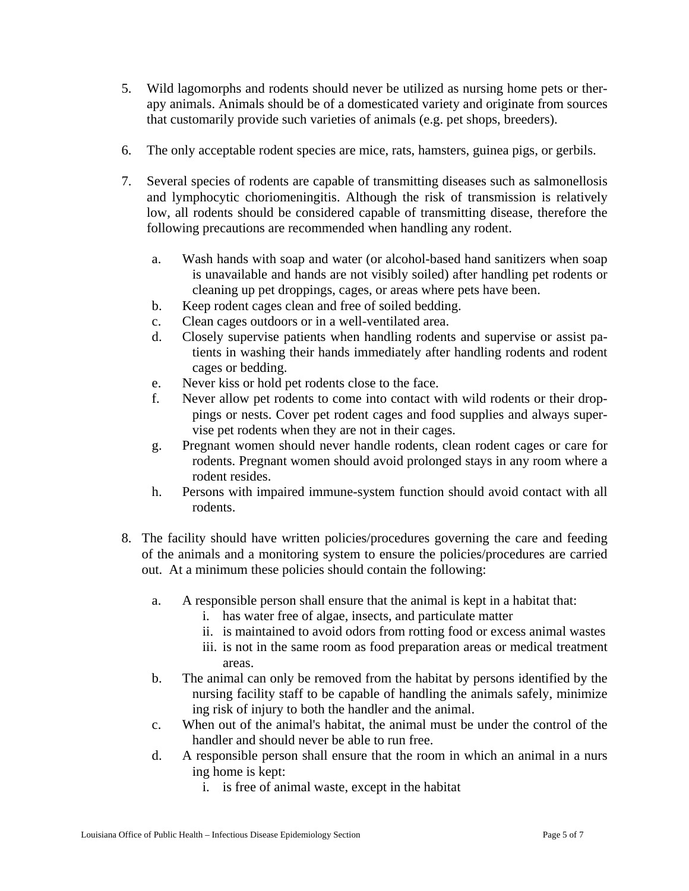- 5. Wild lagomorphs and rodents should never be utilized as nursing home pets or therapy animals. Animals should be of a domesticated variety and originate from sources that customarily provide such varieties of animals (e.g. pet shops, breeders).
- 6. The only acceptable rodent species are mice, rats, hamsters, guinea pigs, or gerbils.
- 7. Several species of rodents are capable of transmitting diseases such as salmonellosis and lymphocytic choriomeningitis. Although the risk of transmission is relatively low, all rodents should be considered capable of transmitting disease, therefore the following precautions are recommended when handling any rodent.
	- a. Wash hands with soap and water (or alcohol-based hand sanitizers when soap is unavailable and hands are not visibly soiled) after handling pet rodents or cleaning up pet droppings, cages, or areas where pets have been.
	- b. Keep rodent cages clean and free of soiled bedding.
	- c. Clean cages outdoors or in a well-ventilated area.
	- d. Closely supervise patients when handling rodents and supervise or assist pa tients in washing their hands immediately after handling rodents and rodent cages or bedding.
	- e. Never kiss or hold pet rodents close to the face.
	- f. Never allow pet rodents to come into contact with wild rodents or their drop pings or nests. Cover pet rodent cages and food supplies and always super vise pet rodents when they are not in their cages.
	- g. Pregnant women should never handle rodents, clean rodent cages or care for rodents. Pregnant women should avoid prolonged stays in any room where a rodent resides.
	- h. Persons with impaired immune-system function should avoid contact with all rodents.
- 8. The facility should have written policies/procedures governing the care and feeding of the animals and a monitoring system to ensure the policies/procedures are carried out. At a minimum these policies should contain the following:
	- a. A responsible person shall ensure that the animal is kept in a habitat that:
		- i. has water free of algae, insects, and particulate matter
		- ii. is maintained to avoid odors from rotting food or excess animal wastes
		- iii. is not in the same room as food preparation areas or medical treatment areas.
	- b. The animal can only be removed from the habitat by persons identified by the nursing facility staff to be capable of handling the animals safely, minimize ing risk of injury to both the handler and the animal.
	- c. When out of the animal's habitat, the animal must be under the control of the handler and should never be able to run free.
	- d. A responsible person shall ensure that the room in which an animal in a nurs ing home is kept:
		- i. is free of animal waste, except in the habitat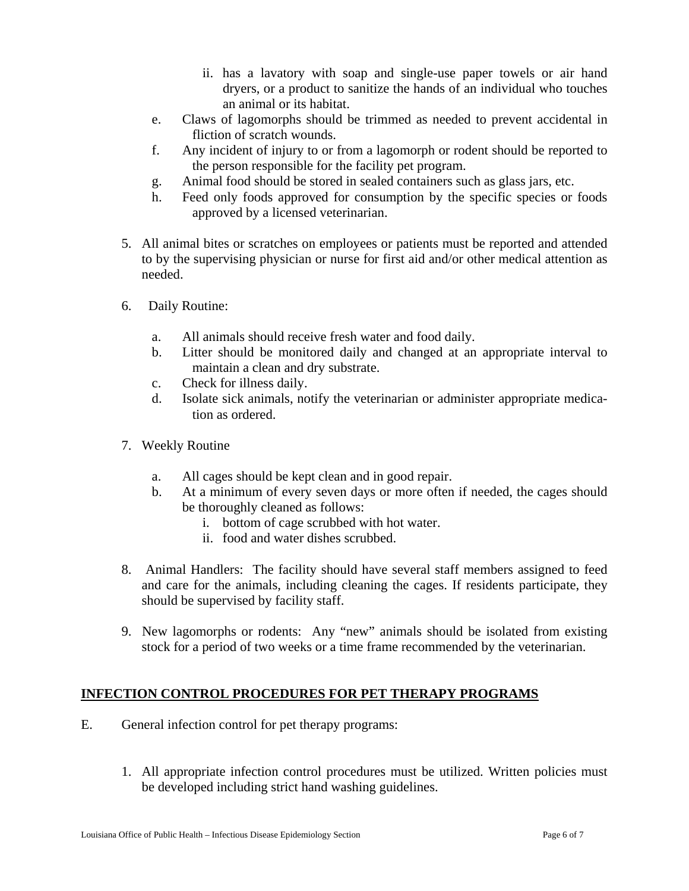- ii. has a lavatory with soap and single-use paper towels or air hand dryers, or a product to sanitize the hands of an individual who touches an animal or its habitat.
- e. Claws of lagomorphs should be trimmed as needed to prevent accidental in fliction of scratch wounds.
- f. Any incident of injury to or from a lagomorph or rodent should be reported to the person responsible for the facility pet program.
- g. Animal food should be stored in sealed containers such as glass jars, etc.
- h. Feed only foods approved for consumption by the specific species or foods approved by a licensed veterinarian.
- 5. All animal bites or scratches on employees or patients must be reported and attended to by the supervising physician or nurse for first aid and/or other medical attention as needed.
- 6. Daily Routine:
	- a. All animals should receive fresh water and food daily.
	- b. Litter should be monitored daily and changed at an appropriate interval to maintain a clean and dry substrate.
	- c. Check for illness daily.
	- d. Isolate sick animals, notify the veterinarian or administer appropriate medica tion as ordered.
- 7. Weekly Routine
	- a. All cages should be kept clean and in good repair.
	- b. At a minimum of every seven days or more often if needed, the cages should be thoroughly cleaned as follows:
		- i. bottom of cage scrubbed with hot water.
		- ii. food and water dishes scrubbed.
- 8. Animal Handlers: The facility should have several staff members assigned to feed and care for the animals, including cleaning the cages. If residents participate, they should be supervised by facility staff.
- 9. New lagomorphs or rodents: Any "new" animals should be isolated from existing stock for a period of two weeks or a time frame recommended by the veterinarian.

# **INFECTION CONTROL PROCEDURES FOR PET THERAPY PROGRAMS**

- E. General infection control for pet therapy programs:
	- 1. All appropriate infection control procedures must be utilized. Written policies must be developed including strict hand washing guidelines.